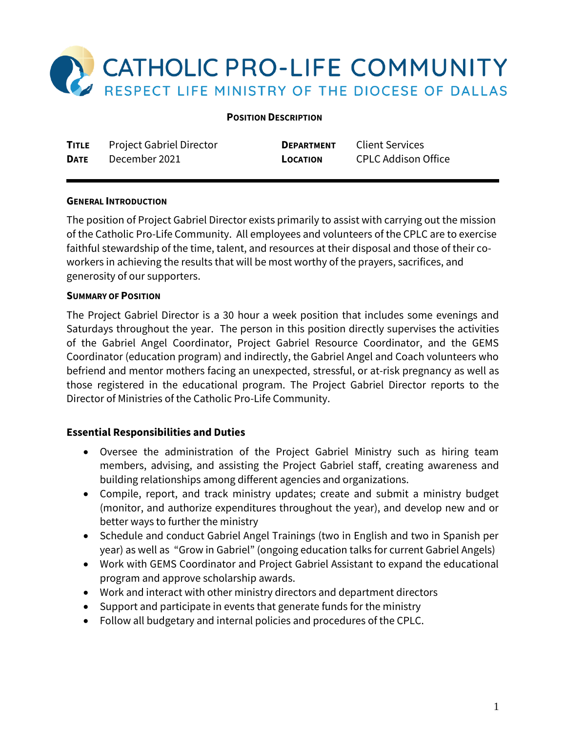

### **POSITION DESCRIPTION**

| <b>TITLE</b> | <b>Project Gabriel Director</b> |
|--------------|---------------------------------|
| <b>DATE</b>  | December 2021                   |

**DEPARTMENT** Client Services **LOCATION** CPLC Addison Office

## **GENERAL INTRODUCTION**

The position of Project Gabriel Director exists primarily to assist with carrying out the mission of the Catholic Pro-Life Community. All employees and volunteers of the CPLC are to exercise faithful stewardship of the time, talent, and resources at their disposal and those of their coworkers in achieving the results that will be most worthy of the prayers, sacrifices, and generosity of our supporters.

#### **SUMMARY OF POSITION**

The Project Gabriel Director is a 30 hour a week position that includes some evenings and Saturdays throughout the year. The person in this position directly supervises the activities of the Gabriel Angel Coordinator, Project Gabriel Resource Coordinator, and the GEMS Coordinator (education program) and indirectly, the Gabriel Angel and Coach volunteers who befriend and mentor mothers facing an unexpected, stressful, or at-risk pregnancy as well as those registered in the educational program. The Project Gabriel Director reports to the Director of Ministries of the Catholic Pro-Life Community.

## **Essential Responsibilities and Duties**

- Oversee the administration of the Project Gabriel Ministry such as hiring team members, advising, and assisting the Project Gabriel staff, creating awareness and building relationships among different agencies and organizations.
- Compile, report, and track ministry updates; create and submit a ministry budget (monitor, and authorize expenditures throughout the year), and develop new and or better ways to further the ministry
- Schedule and conduct Gabriel Angel Trainings (two in English and two in Spanish per year) as well as "Grow in Gabriel" (ongoing education talks for current Gabriel Angels)
- Work with GEMS Coordinator and Project Gabriel Assistant to expand the educational program and approve scholarship awards.
- Work and interact with other ministry directors and department directors
- Support and participate in events that generate funds for the ministry
- Follow all budgetary and internal policies and procedures of the CPLC.